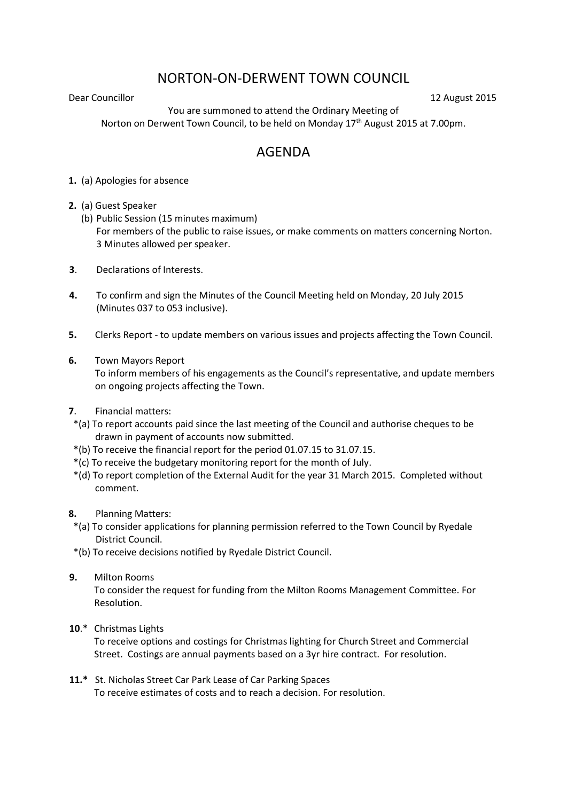## NORTON-ON-DERWENT TOWN COUNCIL

**Dear Councillor** 12 August 2015

You are summoned to attend the Ordinary Meeting of Norton on Derwent Town Council, to be held on Monday  $17<sup>th</sup>$  August 2015 at 7.00pm.

## AGENDA

- **1.** (a) Apologies for absence
- **2.** (a) Guest Speaker
	- (b) Public Session (15 minutes maximum) For members of the public to raise issues, or make comments on matters concerning Norton. 3 Minutes allowed per speaker.
- **3**. Declarations of Interests.
- **4.** To confirm and sign the Minutes of the Council Meeting held on Monday, 20 July 2015 (Minutes 037 to 053 inclusive).
- **5.** Clerks Report to update members on various issues and projects affecting the Town Council.
- **6.** Town Mayors Report

 To inform members of his engagements as the Council's representative, and update members on ongoing projects affecting the Town.

- **7**. Financial matters:
- \*(a) To report accounts paid since the last meeting of the Council and authorise cheques to be drawn in payment of accounts now submitted.
- \*(b) To receive the financial report for the period 01.07.15 to 31.07.15.
- \*(c) To receive the budgetary monitoring report for the month of July.
- \*(d) To report completion of the External Audit for the year 31 March 2015. Completed without comment.
- **8.** Planning Matters:
	- \*(a) To consider applications for planning permission referred to the Town Council by Ryedale District Council.
- \*(b) To receive decisions notified by Ryedale District Council.
- **9.** Milton Rooms

To consider the request for funding from the Milton Rooms Management Committee. For Resolution.

**10**.\* Christmas Lights

To receive options and costings for Christmas lighting for Church Street and Commercial Street. Costings are annual payments based on a 3yr hire contract. For resolution.

**11.\*** St. Nicholas Street Car Park Lease of Car Parking Spaces To receive estimates of costs and to reach a decision. For resolution.